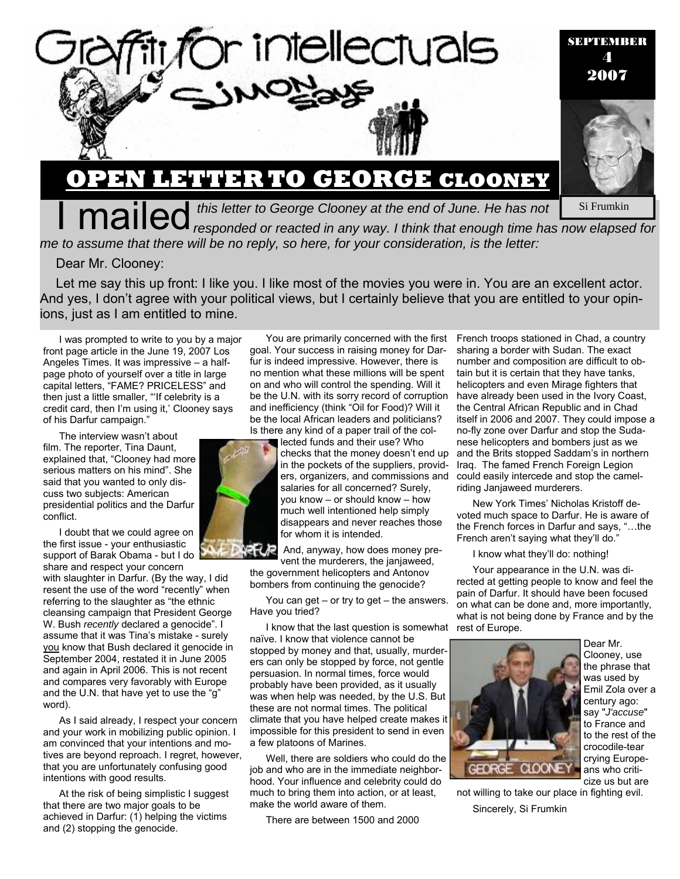

Si Frumkin

**I mailed** *this letter to George Clooney at the end of June. He has not*  $\frac{S_i Frumkin}{S_i Fumbin}$ *me to assume that there will be no reply, so here, for your consideration, is the letter:* 

Dear Mr. Clooney:

Let me say this up front: I like you. I like most of the movies you were in. You are an excellent actor. And yes, I don't agree with your political views, but I certainly believe that you are entitled to your opinions, just as I am entitled to mine.

I was prompted to write to you by a major front page article in the June 19, 2007 Los Angeles Times. It was impressive – a halfpage photo of yourself over a title in large capital letters, "FAME? PRICELESS" and then just a little smaller, "'If celebrity is a credit card, then I'm using it,' Clooney says of his Darfur campaign."

The interview wasn't about film. The reporter, Tina Daunt, explained that, "Clooney had more serious matters on his mind". She said that you wanted to only discuss two subjects: American presidential politics and the Darfur conflict.

I doubt that we could agree on the first issue - your enthusiastic support of Barak Obama - but I do share and respect your concern with slaughter in Darfur. (By the way, I did resent the use of the word "recently" when referring to the slaughter as "the ethnic cleansing campaign that President George W. Bush *recently* declared a genocide". I assume that it was Tina's mistake - surely you know that Bush declared it genocide in September 2004, restated it in June 2005 and again in April 2006. This is not recent and compares very favorably with Europe and the U.N. that have yet to use the "g" word).

As I said already, I respect your concern and your work in mobilizing public opinion. I am convinced that your intentions and motives are beyond reproach. I regret, however, that you are unfortunately confusing good intentions with good results.

At the risk of being simplistic I suggest that there are two major goals to be achieved in Darfur: (1) helping the victims and (2) stopping the genocide.

You are primarily concerned with the first goal. Your success in raising money for Darfur is indeed impressive. However, there is no mention what these millions will be spent on and who will control the spending. Will it be the U.N. with its sorry record of corruption and inefficiency (think "Oil for Food)? Will it be the local African leaders and politicians? Is there any kind of a paper trail of the col-

lected funds and their use? Who checks that the money doesn't end up in the pockets of the suppliers, providers, organizers, and commissions and salaries for all concerned? Surely, you know – or should know – how much well intentioned help simply disappears and never reaches those for whom it is intended.

 And, anyway, how does money prevent the murderers, the janjaweed,

the government helicopters and Antonov bombers from continuing the genocide?

You can get – or try to get – the answers. Have you tried?

I know that the last question is somewhat naïve. I know that violence cannot be stopped by money and that, usually, murderers can only be stopped by force, not gentle persuasion. In normal times, force would probably have been provided, as it usually was when help was needed, by the U.S. But these are not normal times. The political climate that you have helped create makes it impossible for this president to send in even a few platoons of Marines.

Well, there are soldiers who could do the job and who are in the immediate neighborhood. Your influence and celebrity could do much to bring them into action, or at least, make the world aware of them.

There are between 1500 and 2000

French troops stationed in Chad, a country sharing a border with Sudan. The exact number and composition are difficult to obtain but it is certain that they have tanks, helicopters and even Mirage fighters that have already been used in the Ivory Coast, the Central African Republic and in Chad itself in 2006 and 2007. They could impose a no-fly zone over Darfur and stop the Sudanese helicopters and bombers just as we and the Brits stopped Saddam's in northern Iraq. The famed French Foreign Legion could easily intercede and stop the camelriding Janjaweed murderers.

New York Times' Nicholas Kristoff devoted much space to Darfur. He is aware of the French forces in Darfur and says, "…the French aren't saying what they'll do."

I know what they'll do: nothing!

Your appearance in the U.N. was directed at getting people to know and feel the pain of Darfur. It should have been focused on what can be done and, more importantly, what is not being done by France and by the rest of Europe.



Dear Mr. Clooney, use the phrase that was used by Emil Zola over a century ago: say "*J'accuse*" to France and to the rest of the crocodile-tear crying Europeans who criticize us but are

not willing to take our place in fighting evil. Sincerely, Si Frumkin

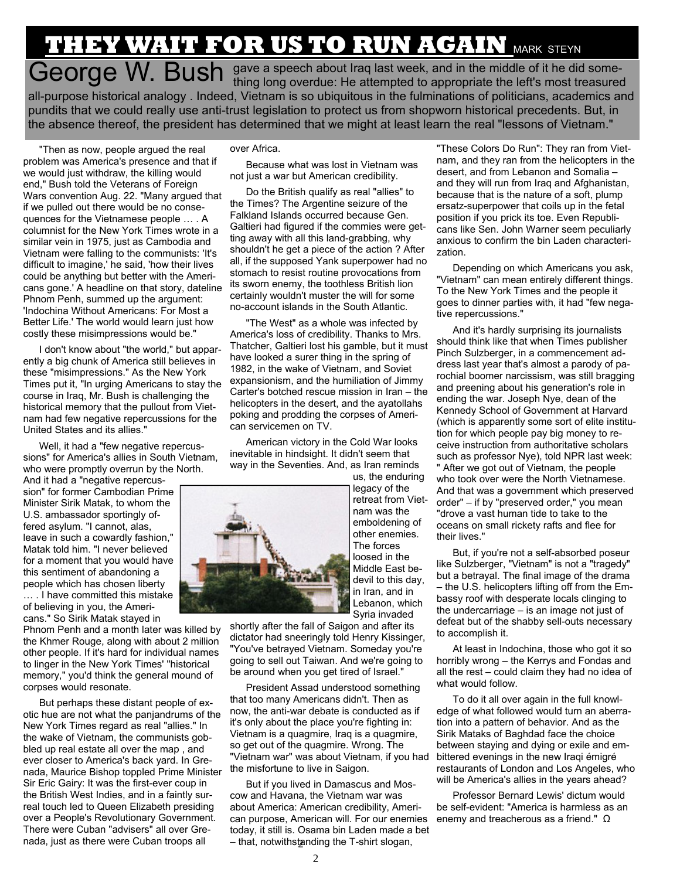# **THEY WAIT FOR US TO RUN AGAIN MARK STEYN**

George W. Bush gave a speech about Iraq last week, and in the middle of it he did some-<br>thing long overdue: He attempted to appropriate the left's most treasured all-purpose historical analogy . Indeed, Vietnam is so ubiquitous in the fulminations of politicians, academics and pundits that we could really use anti-trust legislation to protect us from shopworn historical precedents. But, in the absence thereof, the president has determined that we might at least learn the real "lessons of Vietnam."

"Then as now, people argued the real problem was America's presence and that if we would just withdraw, the killing would end," Bush told the Veterans of Foreign Wars convention Aug. 22. "Many argued that if we pulled out there would be no consequences for the Vietnamese people … . A columnist for the New York Times wrote in a similar vein in 1975, just as Cambodia and Vietnam were falling to the communists: 'It's difficult to imagine,' he said, 'how their lives could be anything but better with the Americans gone.' A headline on that story, dateline Phnom Penh, summed up the argument: 'Indochina Without Americans: For Most a Better Life.' The world would learn just how costly these misimpressions would be."

I don't know about "the world," but apparently a big chunk of America still believes in these "misimpressions." As the New York Times put it, "In urging Americans to stay the course in Iraq, Mr. Bush is challenging the historical memory that the pullout from Vietnam had few negative repercussions for the United States and its allies."

Well, it had a "few negative repercussions" for America's allies in South Vietnam, who were promptly overrun by the North.

And it had a "negative repercussion" for former Cambodian Prime Minister Sirik Matak, to whom the U.S. ambassador sportingly offered asylum. "I cannot, alas, leave in such a cowardly fashion," Matak told him. "I never believed for a moment that you would have this sentiment of abandoning a people which has chosen liberty … . I have committed this mistake of believing in you, the Americans." So Sirik Matak stayed in

Phnom Penh and a month later was killed by the Khmer Rouge, along with about 2 million other people. If it's hard for individual names to linger in the New York Times' "historical memory," you'd think the general mound of corpses would resonate.

But perhaps these distant people of exotic hue are not what the panjandrums of the New York Times regard as real "allies." In the wake of Vietnam, the communists gobbled up real estate all over the map , and ever closer to America's back yard. In Grenada, Maurice Bishop toppled Prime Minister Sir Eric Gairy: It was the first-ever coup in the British West Indies, and in a faintly surreal touch led to Queen Elizabeth presiding over a People's Revolutionary Government. There were Cuban "advisers" all over Grenada, just as there were Cuban troops all

#### over Africa.

Because what was lost in Vietnam was not just a war but American credibility.

Do the British qualify as real "allies" to the Times? The Argentine seizure of the Falkland Islands occurred because Gen. Galtieri had figured if the commies were getting away with all this land-grabbing, why shouldn't he get a piece of the action ? After all, if the supposed Yank superpower had no stomach to resist routine provocations from its sworn enemy, the toothless British lion certainly wouldn't muster the will for some no-account islands in the South Atlantic.

"The West" as a whole was infected by America's loss of credibility. Thanks to Mrs. Thatcher, Galtieri lost his gamble, but it must have looked a surer thing in the spring of 1982, in the wake of Vietnam, and Soviet expansionism, and the humiliation of Jimmy Carter's botched rescue mission in Iran – the helicopters in the desert, and the ayatollahs poking and prodding the corpses of American servicemen on TV.

American victory in the Cold War looks inevitable in hindsight. It didn't seem that way in the Seventies. And, as Iran reminds

us, the enduring legacy of the retreat from Vietnam was the emboldening of other enemies. The forces loosed in the Middle East bedevil to this day, in Iran, and in Lebanon, which

Syria invaded

shortly after the fall of Saigon and after its dictator had sneeringly told Henry Kissinger, "You've betrayed Vietnam. Someday you're going to sell out Taiwan. And we're going to be around when you get tired of Israel."

President Assad understood something that too many Americans didn't. Then as now, the anti-war debate is conducted as if it's only about the place you're fighting in: Vietnam is a quagmire, Iraq is a quagmire, so get out of the quagmire. Wrong. The "Vietnam war" was about Vietnam, if you had the misfortune to live in Saigon.

– that, notwithstanding the T-shirt slogan, But if you lived in Damascus and Moscow and Havana, the Vietnam war was about America: American credibility, American purpose, American will. For our enemies today, it still is. Osama bin Laden made a bet "These Colors Do Run": They ran from Vietnam, and they ran from the helicopters in the desert, and from Lebanon and Somalia – and they will run from Iraq and Afghanistan, because that is the nature of a soft, plump ersatz-superpower that coils up in the fetal position if you prick its toe. Even Republicans like Sen. John Warner seem peculiarly anxious to confirm the bin Laden characterization.

Depending on which Americans you ask, "Vietnam" can mean entirely different things. To the New York Times and the people it goes to dinner parties with, it had "few negative repercussions."

And it's hardly surprising its journalists should think like that when Times publisher Pinch Sulzberger, in a commencement address last year that's almost a parody of parochial boomer narcissism, was still bragging and preening about his generation's role in ending the war. Joseph Nye, dean of the Kennedy School of Government at Harvard (which is apparently some sort of elite institution for which people pay big money to receive instruction from authoritative scholars such as professor Nye), told NPR last week: " After we got out of Vietnam, the people who took over were the North Vietnamese. And that was a government which preserved order" – if by "preserved order," you mean "drove a vast human tide to take to the oceans on small rickety rafts and flee for their lives."

But, if you're not a self-absorbed poseur like Sulzberger, "Vietnam" is not a "tragedy" but a betrayal. The final image of the drama – the U.S. helicopters lifting off from the Embassy roof with desperate locals clinging to the undercarriage – is an image not just of defeat but of the shabby sell-outs necessary to accomplish it.

At least in Indochina, those who got it so horribly wrong – the Kerrys and Fondas and all the rest – could claim they had no idea of what would follow.

To do it all over again in the full knowledge of what followed would turn an aberration into a pattern of behavior. And as the Sirik Mataks of Baghdad face the choice between staying and dying or exile and embittered evenings in the new Iraqi émigré restaurants of London and Los Angeles, who will be America's allies in the years ahead?

Professor Bernard Lewis' dictum would be self-evident: "America is harmless as an enemy and treacherous as a friend." Ω

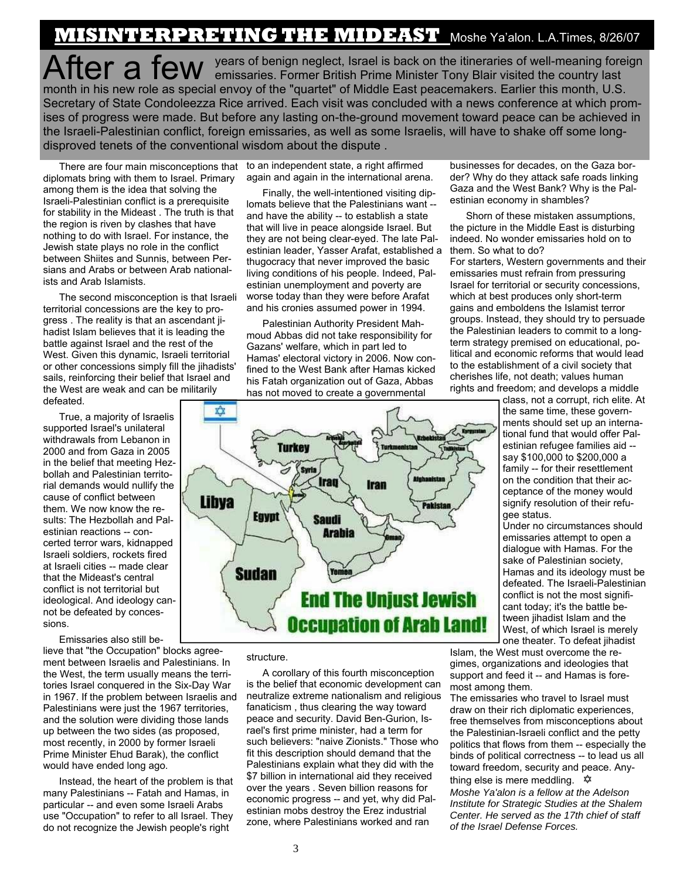### **SINTERPRETING THE MIDEAST** Moshe Ya'alon. L.A.Times, 8/26/07

After a few years of benign neglect, Israel is back on the itineraries of well-meaning foreign emissaries. Former British Prime Minister Tony Blair visited the country last month in his new role as special envoy of the "quartet" of Middle East peacemakers. Earlier this month, U.S. Secretary of State Condoleezza Rice arrived. Each visit was concluded with a news conference at which promises of progress were made. But before any lasting on-the-ground movement toward peace can be achieved in the Israeli-Palestinian conflict, foreign emissaries, as well as some Israelis, will have to shake off some longdisproved tenets of the conventional wisdom about the dispute .

diplomats bring with them to Israel. Primary among them is the idea that solving the Israeli-Palestinian conflict is a prerequisite for stability in the Mideast . The truth is that the region is riven by clashes that have nothing to do with Israel. For instance, the Jewish state plays no role in the conflict between Shiites and Sunnis, between Persians and Arabs or between Arab nationalists and Arab Islamists.

The second misconception is that Israeli territorial concessions are the key to progress . The reality is that an ascendant jihadist Islam believes that it is leading the battle against Israel and the rest of the West. Given this dynamic, Israeli territorial or other concessions simply fill the jihadists' sails, reinforcing their belief that Israel and the West are weak and can be militarily defeated.

True, a majority of Israelis supported Israel's unilateral withdrawals from Lebanon in 2000 and from Gaza in 2005 in the belief that meeting Hezbollah and Palestinian territorial demands would nullify the cause of conflict between them. We now know the results: The Hezbollah and Palestinian reactions -- concerted terror wars, kidnapped Israeli soldiers, rockets fired at Israeli cities -- made clear that the Mideast's central conflict is not territorial but ideological. And ideology cannot be defeated by concessions.

Emissaries also still be-

lieve that "the Occupation" blocks agreement between Israelis and Palestinians. In the West, the term usually means the territories Israel conquered in the Six-Day War in 1967. If the problem between Israelis and Palestinians were just the 1967 territories, and the solution were dividing those lands up between the two sides (as proposed, most recently, in 2000 by former Israeli Prime Minister Ehud Barak), the conflict would have ended long ago.

Instead, the heart of the problem is that many Palestinians -- Fatah and Hamas, in particular -- and even some Israeli Arabs use "Occupation" to refer to all Israel. They do not recognize the Jewish people's right

There are four main misconceptions that to an independent state, a right affirmed again and again in the international arena.

> Finally, the well-intentioned visiting diplomats believe that the Palestinians want - and have the ability -- to establish a state that will live in peace alongside Israel. But they are not being clear-eyed. The late Palestinian leader, Yasser Arafat, established a thugocracy that never improved the basic living conditions of his people. Indeed, Palestinian unemployment and poverty are worse today than they were before Arafat and his cronies assumed power in 1994.

Palestinian Authority President Mahmoud Abbas did not take responsibility for Gazans' welfare, which in part led to Hamas' electoral victory in 2006. Now confined to the West Bank after Hamas kicked his Fatah organization out of Gaza, Abbas has not moved to create a governmental



A corollary of this fourth misconception is the belief that economic development can neutralize extreme nationalism and religious fanaticism , thus clearing the way toward peace and security. David Ben-Gurion, Israel's first prime minister, had a term for such believers: "naive Zionists." Those who fit this description should demand that the Palestinians explain what they did with the \$7 billion in international aid they received over the years . Seven billion reasons for economic progress -- and yet, why did Palestinian mobs destroy the Erez industrial zone, where Palestinians worked and ran

businesses for decades, on the Gaza border? Why do they attack safe roads linking Gaza and the West Bank? Why is the Palestinian economy in shambles?

Shorn of these mistaken assumptions, the picture in the Middle East is disturbing indeed. No wonder emissaries hold on to them. So what to do?

For starters, Western governments and their emissaries must refrain from pressuring Israel for territorial or security concessions, which at best produces only short-term gains and emboldens the Islamist terror groups. Instead, they should try to persuade the Palestinian leaders to commit to a longterm strategy premised on educational, political and economic reforms that would lead to the establishment of a civil society that cherishes life, not death; values human rights and freedom; and develops a middle

class, not a corrupt, rich elite. At the same time, these governments should set up an international fund that would offer Palestinian refugee families aid - say \$100,000 to \$200,000 a family -- for their resettlement on the condition that their acceptance of the money would signify resolution of their refugee status.

Under no circumstances should emissaries attempt to open a dialogue with Hamas. For the sake of Palestinian society, Hamas and its ideology must be defeated. The Israeli-Palestinian conflict is not the most significant today; it's the battle between jihadist Islam and the West, of which Israel is merely one theater. To defeat jihadist

Islam, the West must overcome the regimes, organizations and ideologies that support and feed it -- and Hamas is foremost among them.

The emissaries who travel to Israel must draw on their rich diplomatic experiences, free themselves from misconceptions about the Palestinian-Israeli conflict and the petty politics that flows from them -- especially the binds of political correctness -- to lead us all toward freedom, security and peace. Anything else is mere meddling.  $\oint$ *Moshe Ya'alon is a fellow at the Adelson* 

*Institute for Strategic Studies at the Shalem Center. He served as the 17th chief of staff of the Israel Defense Forces.* 

structure.